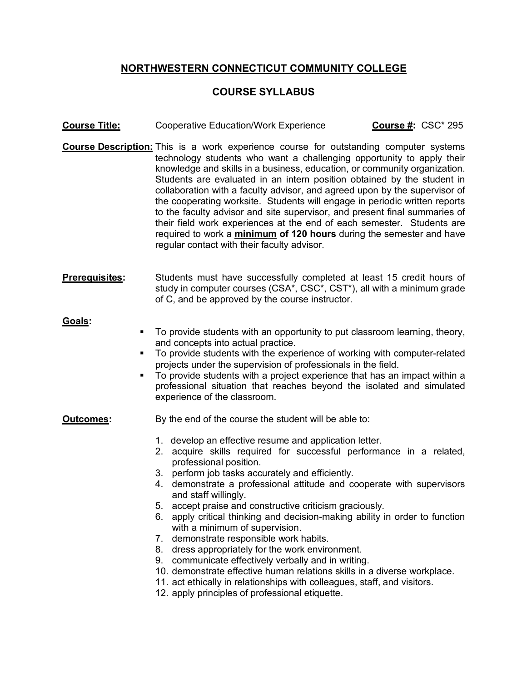## **NORTHWESTERN CONNECTICUT COMMUNITY COLLEGE**

## **COURSE SYLLABUS**

- **Course Title:** Cooperative Education/Work Experience **Course #:** CSC\* 295
- **Course Description:** This is a work experience course for outstanding computer systems technology students who want a challenging opportunity to apply their knowledge and skills in a business, education, or community organization. Students are evaluated in an intern position obtained by the student in collaboration with a faculty advisor, and agreed upon by the supervisor of the cooperating worksite. Students will engage in periodic written reports to the faculty advisor and site supervisor, and present final summaries of their field work experiences at the end of each semester. Students are required to work a **minimum of 120 hours** during the semester and have regular contact with their faculty advisor.
- **Prerequisites:** Students must have successfully completed at least 15 credit hours of study in computer courses (CSA\*, CSC\*, CST\*), all with a minimum grade of C, and be approved by the course instructor.

## **Goals:**

- § To provide students with an opportunity to put classroom learning, theory, and concepts into actual practice.
- § To provide students with the experience of working with computer-related projects under the supervision of professionals in the field.
- § To provide students with a project experience that has an impact within a professional situation that reaches beyond the isolated and simulated experience of the classroom.

**Outcomes:** By the end of the course the student will be able to:

- 1. develop an effective resume and application letter.
- 2. acquire skills required for successful performance in a related, professional position.
- 3. perform job tasks accurately and efficiently.
- 4. demonstrate a professional attitude and cooperate with supervisors and staff willingly.
- 5. accept praise and constructive criticism graciously.
- 6. apply critical thinking and decision-making ability in order to function with a minimum of supervision.
- 7. demonstrate responsible work habits.
- 8. dress appropriately for the work environment.
- 9. communicate effectively verbally and in writing.
- 10. demonstrate effective human relations skills in a diverse workplace.
- 11. act ethically in relationships with colleagues, staff, and visitors.
- 12. apply principles of professional etiquette.